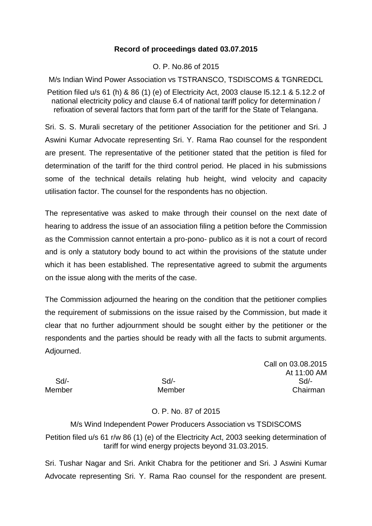## **Record of proceedings dated 03.07.2015**

## O. P. No.86 of 2015

M/s Indian Wind Power Association vs TSTRANSCO, TSDISCOMS & TGNREDCL

Petition filed u/s 61 (h) & 86 (1) (e) of Electricity Act, 2003 clause l5.12.1 & 5.12.2 of national electricity policy and clause 6.4 of national tariff policy for determination / refixation of several factors that form part of the tariff for the State of Telangana.

Sri. S. S. Murali secretary of the petitioner Association for the petitioner and Sri. J Aswini Kumar Advocate representing Sri. Y. Rama Rao counsel for the respondent are present. The representative of the petitioner stated that the petition is filed for determination of the tariff for the third control period. He placed in his submissions some of the technical details relating hub height, wind velocity and capacity utilisation factor. The counsel for the respondents has no objection.

The representative was asked to make through their counsel on the next date of hearing to address the issue of an association filing a petition before the Commission as the Commission cannot entertain a pro-pono- publico as it is not a court of record and is only a statutory body bound to act within the provisions of the statute under which it has been established. The representative agreed to submit the arguments on the issue along with the merits of the case.

The Commission adjourned the hearing on the condition that the petitioner complies the requirement of submissions on the issue raised by the Commission, but made it clear that no further adjournment should be sought either by the petitioner or the respondents and the parties should be ready with all the facts to submit arguments. Adjourned.

Call on 03.08.2015 At 11:00 AM Sd/- Sd/- Sd/- Member Member Chairman

## O. P. No. 87 of 2015

M/s Wind Independent Power Producers Association vs TSDISCOMS Petition filed u/s 61 r/w 86 (1) (e) of the Electricity Act, 2003 seeking determination of tariff for wind energy projects beyond 31.03.2015.

Sri. Tushar Nagar and Sri. Ankit Chabra for the petitioner and Sri. J Aswini Kumar Advocate representing Sri. Y. Rama Rao counsel for the respondent are present.